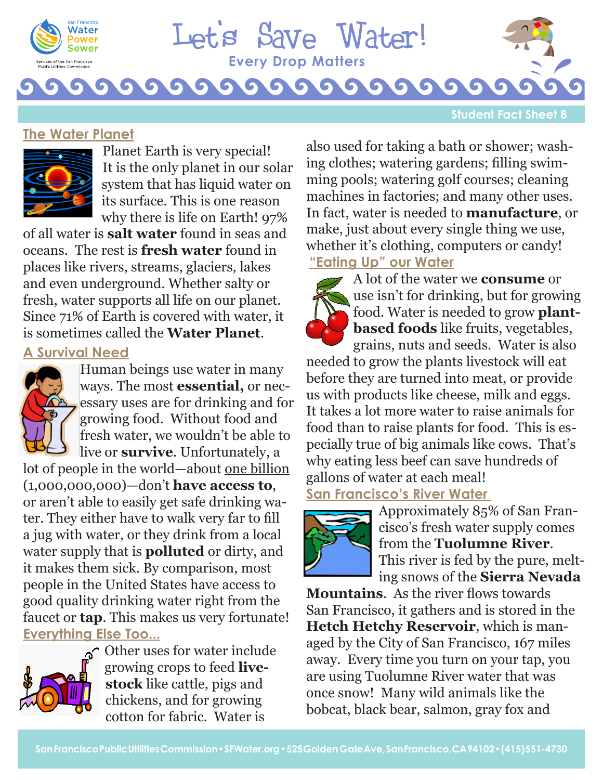

# **T TEvery Drop Matters** Let's Save Water!

G

#### **Student Fact Sheet 8**

#### **The Water Planet**



Planet Earth is very special! It is the only planet in our solar system that has liquid water on its surface. This is one reason why there is life on Earth! 97%

of all water is **salt water** found in seas and oceans. The rest is **fresh water** found in places like rivers, streams, glaciers, lakes and even underground. Whether salty or fresh, water supports all life on our planet. Since 71% of Earth is covered with water, it is sometimes called the **Water Planet**.

# **A Survival Need**



Human beings use water in many ways. The most **essential,** or necessary uses are for drinking and for growing food. Without food and fresh water, we wouldn't be able to live or **survive**. Unfortunately, a

lot of people in the world—about one billion (1,000,000,000)—don't **have access to**, or aren't able to easily get safe drinking water. They either have to walk very far to fill a jug with water, or they drink from a local water supply that is **polluted** or dirty, and it makes them sick. By comparison, most people in the United States have access to good quality drinking water right from the faucet or **tap**. This makes us very fortunate! **Everything Else Too...**



 $\sim$  Other uses for water include growing crops to feed **livestock** like cattle, pigs and chickens, and for growing cotton for fabric. Water is

also used for taking a bath or shower; washing clothes; watering gardens; filling swimming pools; watering golf courses; cleaning machines in factories; and many other uses. In fact, water is needed to **manufacture**, or make, just about every single thing we use, whether it's clothing, computers or candy! **"Eating Up" our Water**

A lot of the water we **consume** or use isn't for drinking, but for growing food. Water is needed to grow **plantbased foods** like fruits, vegetables, grains, nuts and seeds. Water is also needed to grow the plants livestock will eat before they are turned into meat, or provide us with products like cheese, milk and eggs. It takes a lot more water to raise animals for food than to raise plants for food. This is especially true of big animals like cows. That's why eating less beef can save hundreds of gallons of water at each meal! **San Francisco's River Water** 



Approximately 85% of San Francisco's fresh water supply comes from the **Tuolumne River**. This river is fed by the pure, melting snows of the **Sierra Nevada** 

**Mountains**. As the river flows towards San Francisco, it gathers and is stored in the **Hetch Hetchy Reservoir**, which is managed by the City of San Francisco, 167 miles away. Every time you turn on your tap, you are using Tuolumne River water that was once snow! Many wild animals like the bobcat, black bear, salmon, gray fox and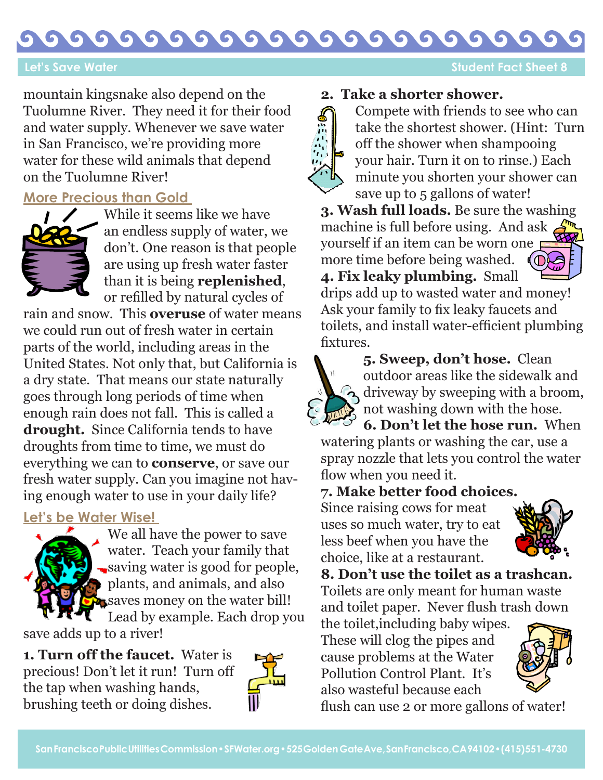#### G G G G G G G G G G  $\bullet$

 **Let's Save Water Student Fact Sheet 8** 

mountain kingsnake also depend on the Tuolumne River. They need it for their food and water supply. Whenever we save water in San Francisco, we're providing more water for these wild animals that depend on the Tuolumne River!

### **More Precious than Gold**



While it seems like we have an endless supply of water, we don't. One reason is that people are using up fresh water faster than it is being **replenished**, or refilled by natural cycles of

rain and snow. This **overuse** of water means we could run out of fresh water in certain parts of the world, including areas in the United States. Not only that, but California is a dry state. That means our state naturally goes through long periods of time when enough rain does not fall. This is called a **drought.** Since California tends to have droughts from time to time, we must do everything we can to **conserve**, or save our fresh water supply. Can you imagine not having enough water to use in your daily life?

### **Let's be Water Wise!**



We all have the power to save water. Teach your family that saving water is good for people, plants, and animals, and also saves money on the water bill! Lead by example. Each drop you

save adds up to a river!

**1. Turn off the faucet.** Water is precious! Don't let it run! Turn off the tap when washing hands, brushing teeth or doing dishes.



# **2. Take a shorter shower.**



Compete with friends to see who can take the shortest shower. (Hint: Turn off the shower when shampooing your hair. Turn it on to rinse.) Each minute you shorten your shower can save up to 5 gallons of water!

**3. Wash full loads.** Be sure the washing machine is full before using. And ask yourself if an item can be worn one more time before being washed. d (T **4. Fix leaky plumbing.** Small

drips add up to wasted water and money! Ask your family to fix leaky faucets and toilets, and install water-efficient plumbing fixtures.



**5. Sweep, don't hose.** Clean outdoor areas like the sidewalk and  $\Omega$  driveway by sweeping with a broom, not washing down with the hose. **6. Don't let the hose run.** When

watering plants or washing the car, use a spray nozzle that lets you control the water flow when you need it.

# **7. Make better food choices.**

Since raising cows for meat uses so much water, try to eat less beef when you have the choice, like at a restaurant.



**8. Don't use the toilet as a trashcan.**  Toilets are only meant for human waste and toilet paper. Never flush trash down

the toilet,including baby wipes. These will clog the pipes and cause problems at the Water Pollution Control Plant. It's also wasteful because each



flush can use 2 or more gallons of water!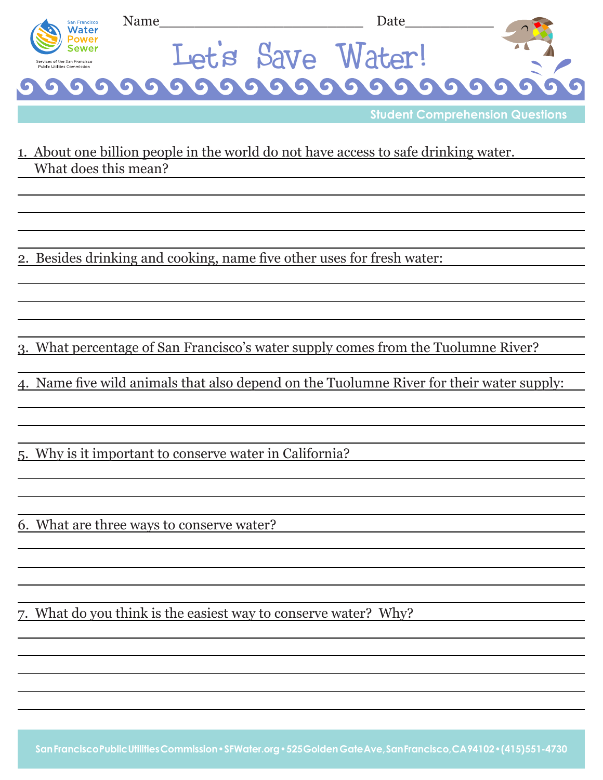

**Student Comprehension Questions**

1. About one billion people in the world do not have access to safe drinking water. What does this mean?

2. Besides drinking and cooking, name five other uses for fresh water:

3. What percentage of San Francisco's water supply comes from the Tuolumne River?

4. Name five wild animals that also depend on the Tuolumne River for their water supply:

5. Why is it important to conserve water in California?

6. What are three ways to conserve water?

7. What do you think is the easiest way to conserve water? Why?